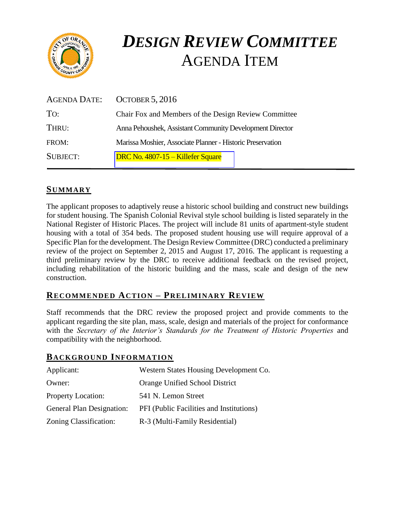

# *DESIGN REVIEW COMMITTEE*  AGENDA ITEM

| AGENDA DATE:    | <b>OCTOBER 5, 2016</b>                                     |
|-----------------|------------------------------------------------------------|
| TO:             | Chair Fox and Members of the Design Review Committee       |
| THRU:           | Anna Pehoushek, Assistant Community Development Director   |
| FROM:           | Marissa Moshier, Associate Planner - Historic Preservation |
| <b>SUBJECT:</b> | DRC No. 4807-15 – Killefer Square                          |

# **SUMMARY**

The applicant proposes to adaptively reuse a historic school building and construct new buildings for student housing. The Spanish Colonial Revival style school building is listed separately in the National Register of Historic Places. The project will include 81 units of apartment-style student housing with a total of 354 beds. The proposed student housing use will require approval of a Specific Plan for the development. The Design Review Committee (DRC) conducted a preliminary review of the project on September 2, 2015 and August 17, 2016. The applicant is requesting a third preliminary review by the DRC to receive additional feedback on the revised project, including rehabilitation of the historic building and the mass, scale and design of the new construction.

## **RECOMMENDED ACTION – PRELIMINARY REVIEW**

Staff recommends that the DRC review the proposed project and provide comments to the applicant regarding the site plan, mass, scale, design and materials of the project for conformance with the *Secretary of the Interior's Standards for the Treatment of Historic Properties* and compatibility with the neighborhood.

#### **BACKGROUND INFORMATION**

| Applicant:                       | Western States Housing Development Co.   |
|----------------------------------|------------------------------------------|
| Owner:                           | Orange Unified School District           |
| <b>Property Location:</b>        | 541 N. Lemon Street                      |
| <b>General Plan Designation:</b> | PFI (Public Facilities and Institutions) |
| Zoning Classification:           | R-3 (Multi-Family Residential)           |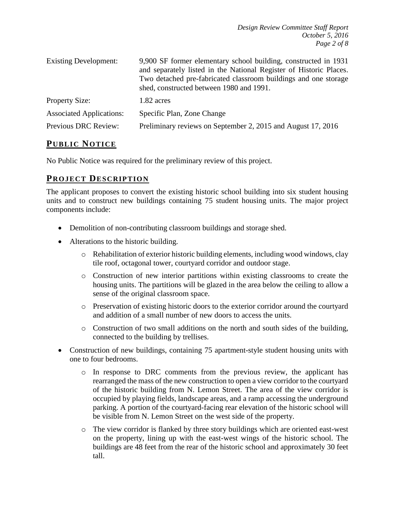| <b>Existing Development:</b>    | 9,900 SF former elementary school building, constructed in 1931<br>and separately listed in the National Register of Historic Places.<br>Two detached pre-fabricated classroom buildings and one storage<br>shed, constructed between 1980 and 1991. |  |
|---------------------------------|------------------------------------------------------------------------------------------------------------------------------------------------------------------------------------------------------------------------------------------------------|--|
| <b>Property Size:</b>           | 1.82 acres                                                                                                                                                                                                                                           |  |
| <b>Associated Applications:</b> | Specific Plan, Zone Change                                                                                                                                                                                                                           |  |
| Previous DRC Review:            | Preliminary reviews on September 2, 2015 and August 17, 2016                                                                                                                                                                                         |  |

## **PUB LIC NOTICE**

No Public Notice was required for the preliminary review of this project.

### **PROJECT DESCRIP TION**

The applicant proposes to convert the existing historic school building into six student housing units and to construct new buildings containing 75 student housing units. The major project components include:

- Demolition of non-contributing classroom buildings and storage shed.
- Alterations to the historic building.
	- $\circ$  Rehabilitation of exterior historic building elements, including wood windows, clay tile roof, octagonal tower, courtyard corridor and outdoor stage.
	- o Construction of new interior partitions within existing classrooms to create the housing units. The partitions will be glazed in the area below the ceiling to allow a sense of the original classroom space.
	- o Preservation of existing historic doors to the exterior corridor around the courtyard and addition of a small number of new doors to access the units.
	- o Construction of two small additions on the north and south sides of the building, connected to the building by trellises.
- Construction of new buildings, containing 75 apartment-style student housing units with one to four bedrooms.
	- o In response to DRC comments from the previous review, the applicant has rearranged the mass of the new construction to open a view corridor to the courtyard of the historic building from N. Lemon Street. The area of the view corridor is occupied by playing fields, landscape areas, and a ramp accessing the underground parking. A portion of the courtyard-facing rear elevation of the historic school will be visible from N. Lemon Street on the west side of the property.
	- o The view corridor is flanked by three story buildings which are oriented east-west on the property, lining up with the east-west wings of the historic school. The buildings are 48 feet from the rear of the historic school and approximately 30 feet tall.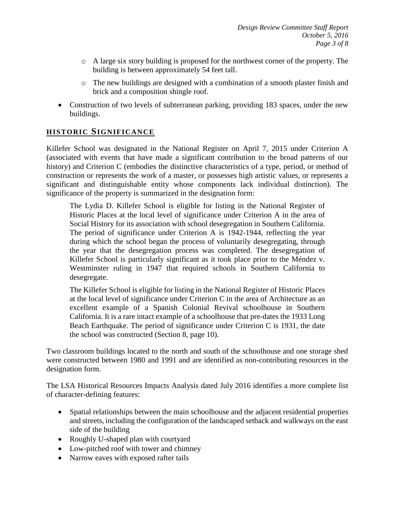- $\circ$  A large six story building is proposed for the northwest corner of the property. The building is between approximately 54 feet tall.
- o The new buildings are designed with a combination of a smooth plaster finish and brick and a composition shingle roof.
- Construction of two levels of subterranean parking, providing 183 spaces, under the new buildings.

### **HISTORIC SIGNIFICANCE**

Killefer School was designated in the National Register on April 7, 2015 under Criterion A (associated with events that have made a significant contribution to the broad patterns of our history) and Criterion C (embodies the distinctive characteristics of a type, period, or method of construction or represents the work of a master, or possesses high artistic values, or represents a significant and distinguishable entity whose components lack individual distinction). The significance of the property is summarized in the designation form:

The Lydia D. Killefer School is eligible for listing in the National Register of Historic Places at the local level of significance under Criterion A in the area of Social History for its association with school desegregation in Southern California. The period of significance under Criterion A is 1942-1944, reflecting the year during which the school began the process of voluntarily desegregating, through the year that the desegregation process was completed. The desegregation of Killefer School is particularly significant as it took place prior to the Méndez v. Westminster ruling in 1947 that required schools in Southern California to desegregate.

The Killefer School is eligible for listing in the National Register of Historic Places at the local level of significance under Criterion C in the area of Architecture as an excellent example of a Spanish Colonial Revival schoolhouse in Southern California. It is a rare intact example of a schoolhouse that pre-dates the 1933 Long Beach Earthquake. The period of significance under Criterion C is 1931, the date the school was constructed (Section 8, page 10).

Two classroom buildings located to the north and south of the schoolhouse and one storage shed were constructed between 1980 and 1991 and are identified as non-contributing resources in the designation form.

The LSA Historical Resources Impacts Analysis dated July 2016 identifies a more complete list of character-defining features:

- Spatial relationships between the main schoolhouse and the adjacent residential properties and streets, including the configuration of the landscaped setback and walkways on the east side of the building
- Roughly U-shaped plan with courtyard
- Low-pitched roof with tower and chimney
- Narrow eaves with exposed rafter tails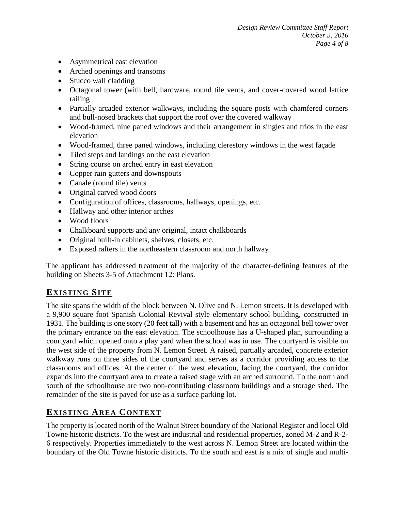- Asymmetrical east elevation
- Arched openings and transoms
- Stucco wall cladding
- Octagonal tower (with bell, hardware, round tile vents, and cover-covered wood lattice railing
- Partially arcaded exterior walkways, including the square posts with chamfered corners and bull-nosed brackets that support the roof over the covered walkway
- Wood-framed, nine paned windows and their arrangement in singles and trios in the east elevation
- Wood-framed, three paned windows, including clerestory windows in the west façade
- Tiled steps and landings on the east elevation
- String course on arched entry in east elevation
- Copper rain gutters and downspouts
- Canale (round tile) vents
- Original carved wood doors
- Configuration of offices, classrooms, hallways, openings, etc.
- Hallway and other interior arches
- Wood floors
- Chalkboard supports and any original, intact chalkboards
- Original built-in cabinets, shelves, closets, etc.
- Exposed rafters in the northeastern classroom and north hallway

The applicant has addressed treatment of the majority of the character-defining features of the building on Sheets 3-5 of Attachment 12: Plans.

# **EXISTING SITE**

The site spans the width of the block between N. Olive and N. Lemon streets. It is developed with a 9,900 square foot Spanish Colonial Revival style elementary school building, constructed in 1931. The building is one story (20 feet tall) with a basement and has an octagonal bell tower over the primary entrance on the east elevation. The schoolhouse has a U-shaped plan, surrounding a courtyard which opened onto a play yard when the school was in use. The courtyard is visible on the west side of the property from N. Lemon Street. A raised, partially arcaded, concrete exterior walkway runs on three sides of the courtyard and serves as a corridor providing access to the classrooms and offices. At the center of the west elevation, facing the courtyard, the corridor expands into the courtyard area to create a raised stage with an arched surround. To the north and south of the schoolhouse are two non-contributing classroom buildings and a storage shed. The remainder of the site is paved for use as a surface parking lot.

# **EXISTING AREA CONTEXT**

The property is located north of the Walnut Street boundary of the National Register and local Old Towne historic districts. To the west are industrial and residential properties, zoned M-2 and R-2- 6 respectively. Properties immediately to the west across N. Lemon Street are located within the boundary of the Old Towne historic districts. To the south and east is a mix of single and multi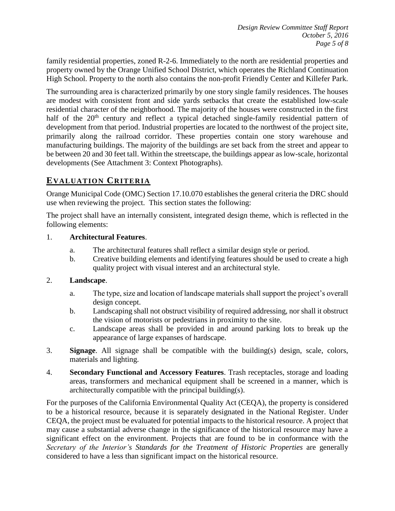family residential properties, zoned R-2-6. Immediately to the north are residential properties and property owned by the Orange Unified School District, which operates the Richland Continuation High School. Property to the north also contains the non-profit Friendly Center and Killefer Park.

The surrounding area is characterized primarily by one story single family residences. The houses are modest with consistent front and side yards setbacks that create the established low-scale residential character of the neighborhood. The majority of the houses were constructed in the first half of the  $20<sup>th</sup>$  century and reflect a typical detached single-family residential pattern of development from that period. Industrial properties are located to the northwest of the project site, primarily along the railroad corridor. These properties contain one story warehouse and manufacturing buildings. The majority of the buildings are set back from the street and appear to be between 20 and 30 feet tall. Within the streetscape, the buildings appear as low-scale, horizontal developments (See Attachment 3: Context Photographs).

# **EVALUATION CRITERIA**

Orange Municipal Code (OMC) Section 17.10.070 establishes the general criteria the DRC should use when reviewing the project. This section states the following:

The project shall have an internally consistent, integrated design theme, which is reflected in the following elements:

#### 1. **Architectural Features**.

- a. The architectural features shall reflect a similar design style or period.
- b. Creative building elements and identifying features should be used to create a high quality project with visual interest and an architectural style.

#### 2. **Landscape**.

- a. The type, size and location of landscape materials shall support the project's overall design concept.
- b. Landscaping shall not obstruct visibility of required addressing, nor shall it obstruct the vision of motorists or pedestrians in proximity to the site.
- c. Landscape areas shall be provided in and around parking lots to break up the appearance of large expanses of hardscape.
- 3. **Signage**. All signage shall be compatible with the building(s) design, scale, colors, materials and lighting.
- 4. **Secondary Functional and Accessory Features**. Trash receptacles, storage and loading areas, transformers and mechanical equipment shall be screened in a manner, which is architecturally compatible with the principal building(s).

For the purposes of the California Environmental Quality Act (CEQA), the property is considered to be a historical resource, because it is separately designated in the National Register. Under CEQA, the project must be evaluated for potential impacts to the historical resource. A project that may cause a substantial adverse change in the significance of the historical resource may have a significant effect on the environment. Projects that are found to be in conformance with the *Secretary of the Interior's Standards for the Treatment of Historic Properties* are generally considered to have a less than significant impact on the historical resource.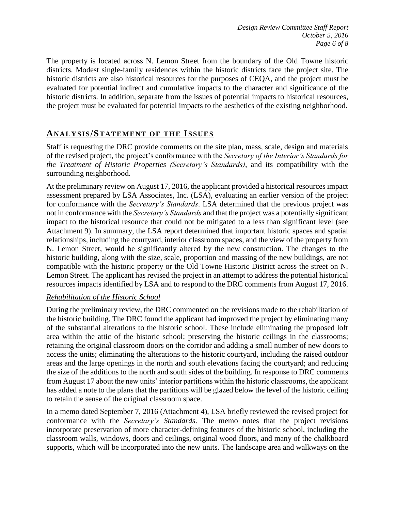The property is located across N. Lemon Street from the boundary of the Old Towne historic districts. Modest single-family residences within the historic districts face the project site. The historic districts are also historical resources for the purposes of CEQA, and the project must be evaluated for potential indirect and cumulative impacts to the character and significance of the historic districts. In addition, separate from the issues of potential impacts to historical resources, the project must be evaluated for potential impacts to the aesthetics of the existing neighborhood.

## **ANALY SIS/STATEMENT OF THE ISSUES**

Staff is requesting the DRC provide comments on the site plan, mass, scale, design and materials of the revised project, the project's conformance with the *Secretary of the Interior's Standards for the Treatment of Historic Properties (Secretary's Standards)*, and its compatibility with the surrounding neighborhood.

At the preliminary review on August 17, 2016, the applicant provided a historical resources impact assessment prepared by LSA Associates, Inc. (LSA), evaluating an earlier version of the project for conformance with the *Secretary's Standards*. LSA determined that the previous project was not in conformance with the *Secretary's Standards* and that the project was a potentially significant impact to the historical resource that could not be mitigated to a less than significant level (see Attachment 9). In summary, the LSA report determined that important historic spaces and spatial relationships, including the courtyard, interior classroom spaces, and the view of the property from N. Lemon Street, would be significantly altered by the new construction. The changes to the historic building, along with the size, scale, proportion and massing of the new buildings, are not compatible with the historic property or the Old Towne Historic District across the street on N. Lemon Street. The applicant has revised the project in an attempt to address the potential historical resources impacts identified by LSA and to respond to the DRC comments from August 17, 2016.

#### *Rehabilitation of the Historic School*

During the preliminary review, the DRC commented on the revisions made to the rehabilitation of the historic building. The DRC found the applicant had improved the project by eliminating many of the substantial alterations to the historic school. These include eliminating the proposed loft area within the attic of the historic school; preserving the historic ceilings in the classrooms; retaining the original classroom doors on the corridor and adding a small number of new doors to access the units; eliminating the alterations to the historic courtyard, including the raised outdoor areas and the large openings in the north and south elevations facing the courtyard; and reducing the size of the additions to the north and south sides of the building. In response to DRC comments from August 17 about the new units' interior partitions within the historic classrooms, the applicant has added a note to the plans that the partitions will be glazed below the level of the historic ceiling to retain the sense of the original classroom space.

In a memo dated September 7, 2016 (Attachment 4), LSA briefly reviewed the revised project for conformance with the *Secretary's Standards*. The memo notes that the project revisions incorporate preservation of more character-defining features of the historic school, including the classroom walls, windows, doors and ceilings, original wood floors, and many of the chalkboard supports, which will be incorporated into the new units. The landscape area and walkways on the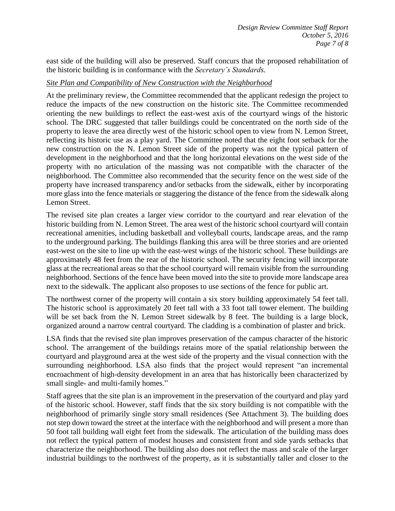east side of the building will also be preserved. Staff concurs that the proposed rehabilitation of the historic building is in conformance with the *Secretary's Standards*.

#### *Site Plan and Compatibility of New Construction with the Neighborhood*

At the preliminary review, the Committee recommended that the applicant redesign the project to reduce the impacts of the new construction on the historic site. The Committee recommended orienting the new buildings to reflect the east-west axis of the courtyard wings of the historic school. The DRC suggested that taller buildings could be concentrated on the north side of the property to leave the area directly west of the historic school open to view from N. Lemon Street, reflecting its historic use as a play yard. The Committee noted that the eight foot setback for the new construction on the N. Lemon Street side of the property was not the typical pattern of development in the neighborhood and that the long horizontal elevations on the west side of the property with no articulation of the massing was not compatible with the character of the neighborhood. The Committee also recommended that the security fence on the west side of the property have increased transparency and/or setbacks from the sidewalk, either by incorporating more glass into the fence materials or staggering the distance of the fence from the sidewalk along Lemon Street.

The revised site plan creates a larger view corridor to the courtyard and rear elevation of the historic building from N. Lemon Street. The area west of the historic school courtyard will contain recreational amenities, including basketball and volleyball courts, landscape areas, and the ramp to the underground parking. The buildings flanking this area will be three stories and are oriented east-west on the site to line up with the east-west wings of the historic school. These buildings are approximately 48 feet from the rear of the historic school. The security fencing will incorporate glass at the recreational areas so that the school courtyard will remain visible from the surrounding neighborhood. Sections of the fence have been moved into the site to provide more landscape area next to the sidewalk. The applicant also proposes to use sections of the fence for public art.

The northwest corner of the property will contain a six story building approximately 54 feet tall. The historic school is approximately 20 feet tall with a 33 foot tall tower element. The building will be set back from the N. Lemon Street sidewalk by 8 feet. The building is a large block, organized around a narrow central courtyard. The cladding is a combination of plaster and brick.

LSA finds that the revised site plan improves preservation of the campus character of the historic school. The arrangement of the buildings retains more of the spatial relationship between the courtyard and playground area at the west side of the property and the visual connection with the surrounding neighborhood. LSA also finds that the project would represent "an incremental encroachment of high-density development in an area that has historically been characterized by small single- and multi-family homes."

Staff agrees that the site plan is an improvement in the preservation of the courtyard and play yard of the historic school. However, staff finds that the six story building is not compatible with the neighborhood of primarily single story small residences (See Attachment 3). The building does not step down toward the street at the interface with the neighborhood and will present a more than 50 foot tall building wall eight feet from the sidewalk. The articulation of the building mass does not reflect the typical pattern of modest houses and consistent front and side yards setbacks that characterize the neighborhood. The building also does not reflect the mass and scale of the larger industrial buildings to the northwest of the property, as it is substantially taller and closer to the